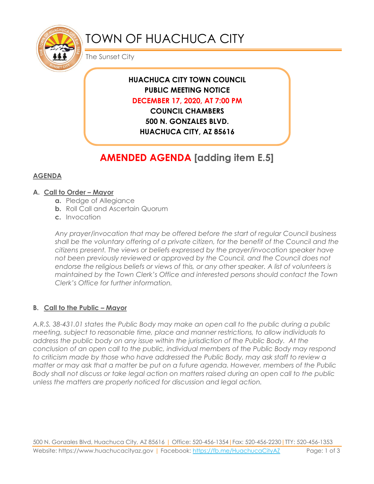

# TOWN OF HUACHUCA CITY

The Sunset City

# **HUACHUCA CITY TOWN COUNCIL PUBLIC MEETING NOTICE DECEMBER 17, 2020, AT 7:00 PM**

**COUNCIL CHAMBERS 500 N. GONZALES BLVD. HUACHUCA CITY, AZ 85616**

# **AMENDED AGENDA [adding item E.5]**

# **AGENDA**

## **A. Call to Order – Mayor**

- **a.** Pledge of Allegiance
- **b.** Roll Call and Ascertain Quorum
- **c.** Invocation

*Any prayer/invocation that may be offered before the start of regular Council business shall be the voluntary offering of a private citizen, for the benefit of the Council and the citizens present. The views or beliefs expressed by the prayer/invocation speaker have not been previously reviewed or approved by the Council, and the Council does not endorse the religious beliefs or views of this, or any other speaker. A list of volunteers is maintained by the Town Clerk's Office and interested persons should contact the Town Clerk's Office for further information.*

# **B. Call to the Public – Mayor**

*A.R.S. 38-431.01 states the Public Body may make an open call to the public during a public meeting, subject to reasonable time, place and manner restrictions, to allow individuals to address the public body on any issue within the jurisdiction of the Public Body. At the conclusion of an open call to the public, individual members of the Public Body may respond to criticism made by those who have addressed the Public Body, may ask staff to review a matter or may ask that a matter be put on a future agenda. However, members of the Public Body shall not discuss or take legal action on matters raised during an open call to the public unless the matters are properly noticed for discussion and legal action.*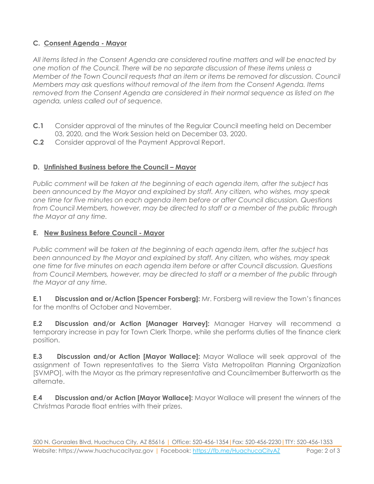# **C. Consent Agenda - Mayor**

*All items listed in the Consent Agenda are considered routine matters and will be enacted by one motion of the Council. There will be no separate discussion of these items unless a Member of the Town Council requests that an item or items be removed for discussion. Council Members may ask questions without removal of the item from the Consent Agenda. Items removed from the Consent Agenda are considered in their normal sequence as listed on the agenda, unless called out of sequence.*

- **C.1** Consider approval of the minutes of the Regular Council meeting held on December 03, 2020, and the Work Session held on December 03, 2020.
- **C.2** Consider approval of the Payment Approval Report.

### **D. Unfinished Business before the Council – Mayor**

*Public comment will be taken at the beginning of each agenda item, after the subject has been announced by the Mayor and explained by staff. Any citizen, who wishes, may speak one time for five minutes on each agenda item before or after Council discussion. Questions from Council Members, however, may be directed to staff or a member of the public through the Mayor at any time.*

### **E. New Business Before Council - Mayor**

*Public comment will be taken at the beginning of each agenda item, after the subject has been announced by the Mayor and explained by staff. Any citizen, who wishes, may speak one time for five minutes on each agenda item before or after Council discussion. Questions from Council Members, however, may be directed to staff or a member of the public through the Mayor at any time.* 

**E.1 Discussion and or/Action [Spencer Forsberg]:** Mr. Forsberg will review the Town's finances for the months of October and November.

**E.2 Discussion and/or Action [Manager Harvey]:** Manager Harvey will recommend a temporary increase in pay for Town Clerk Thorpe, while she performs duties of the finance clerk position.

**E.3 Discussion and/or Action [Mayor Wallace]:** Mayor Wallace will seek approval of the assignment of Town representatives to the Sierra Vista Metropolitan Planning Organization [SVMPO], with the Mayor as the primary representative and Councilmember Butterworth as the alternate.

**E.4 Discussion and/or Action [Mayor Wallace]:** Mayor Wallace will present the winners of the Christmas Parade float entries with their prizes.